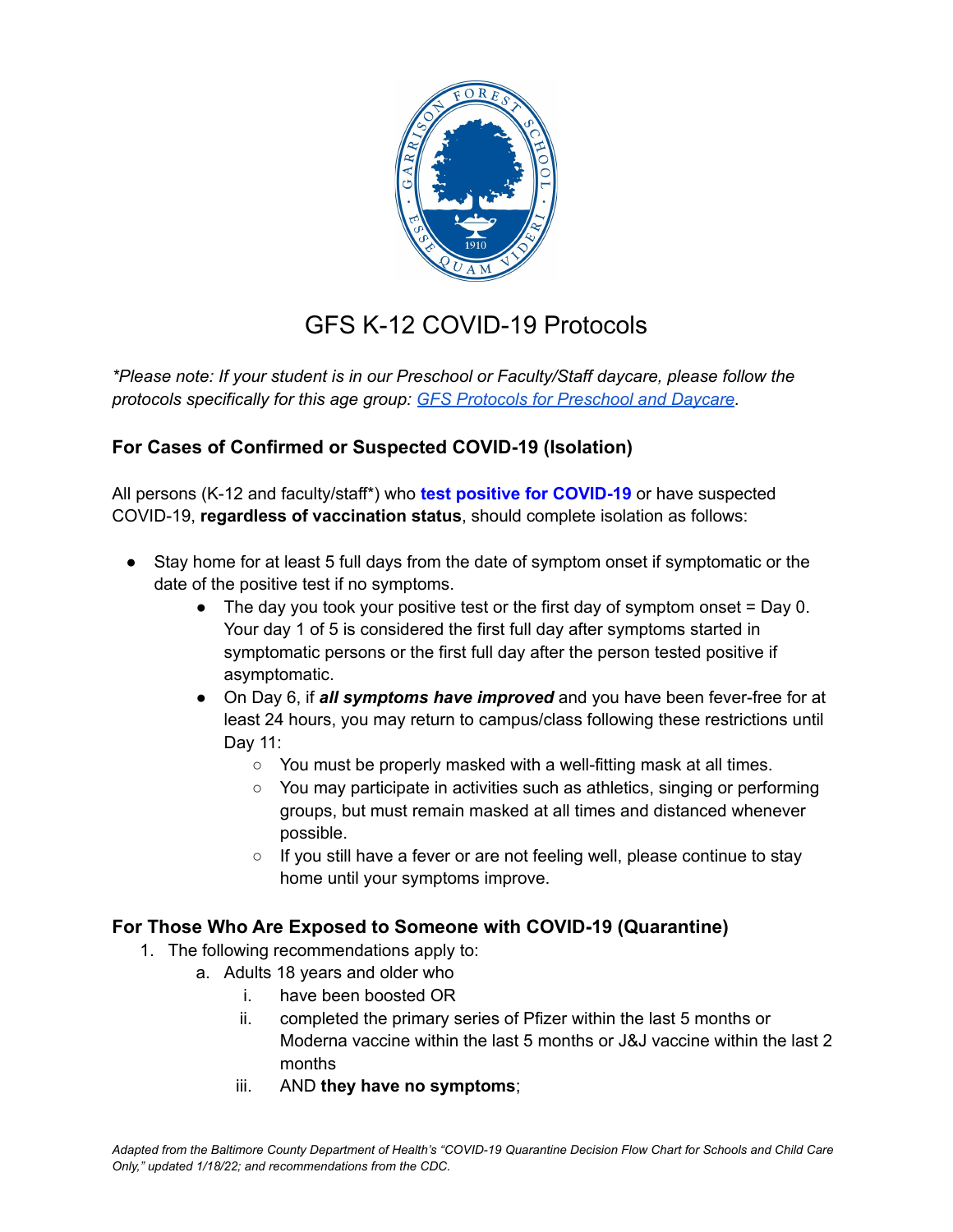

## GFS K-12 COVID-19 Protocols

*\*Please note: If your student is in our Preschool or Faculty/Staff daycare, please follow the protocols specifically for this age group: GFS Protocols for [Preschool](https://www.gfs.org/uploaded/Communications/Preschool_and_Daycare_Protocols.pdf?1651166302403) and Daycare.*

## **For Cases of Confirmed or Suspected COVID-19 (Isolation)**

All persons (K-12 and faculty/staff\*) who **test positive for COVID-19** or have suspected COVID-19, **regardless of vaccination status**, should complete isolation as follows:

- Stay home for at least 5 full days from the date of symptom onset if symptomatic or the date of the positive test if no symptoms.
	- $\bullet$  The day you took your positive test or the first day of symptom onset = Day 0. Your day 1 of 5 is considered the first full day after symptoms started in symptomatic persons or the first full day after the person tested positive if asymptomatic.
	- On Day 6, if *all symptoms have improved* and you have been fever-free for at least 24 hours, you may return to campus/class following these restrictions until Day 11:
		- You must be properly masked with a well-fitting mask at all times.
		- You may participate in activities such as athletics, singing or performing groups, but must remain masked at all times and distanced whenever possible.
		- If you still have a fever or are not feeling well, please continue to stay home until your symptoms improve.

## **For Those Who Are Exposed to Someone with COVID-19 (Quarantine)**

- 1. The following recommendations apply to:
	- a. Adults 18 years and older who
		- i. have been boosted OR
		- ii. completed the primary series of Pfizer within the last 5 months or Moderna vaccine within the last 5 months or J&J vaccine within the last 2 months
		- iii. AND **they have no symptoms**;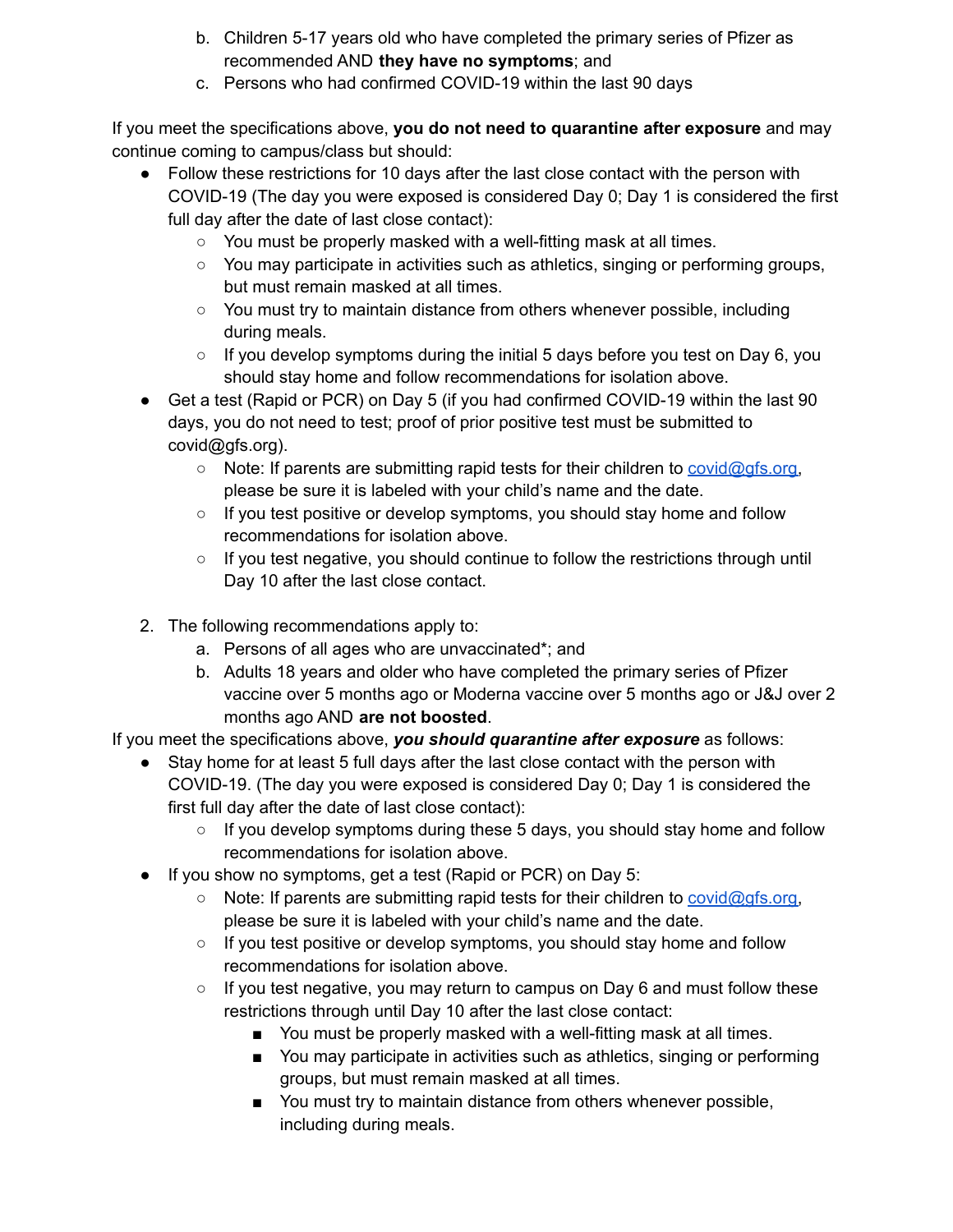- b. Children 5-17 years old who have completed the primary series of Pfizer as recommended AND **they have no symptoms**; and
- c. Persons who had confirmed COVID-19 within the last 90 days

If you meet the specifications above, **you do not need to quarantine after exposure** and may continue coming to campus/class but should:

- Follow these restrictions for 10 days after the last close contact with the person with COVID-19 (The day you were exposed is considered Day 0; Day 1 is considered the first full day after the date of last close contact):
	- You must be properly masked with a well-fitting mask at all times.
	- You may participate in activities such as athletics, singing or performing groups, but must remain masked at all times.
	- You must try to maintain distance from others whenever possible, including during meals.
	- $\circ$  If you develop symptoms during the initial 5 days before you test on Day 6, you should stay home and follow recommendations for isolation above.
- Get a test (Rapid or PCR) on Day 5 (if you had confirmed COVID-19 within the last 90 days, you do not need to test; proof of prior positive test must be submitted to covid@gfs.org).
	- Note: If parents are submitting rapid tests for their children to [covid@gfs.org,](mailto:covid@gfs.org) please be sure it is labeled with your child's name and the date.
	- If you test positive or develop symptoms, you should stay home and follow recommendations for isolation above.
	- $\circ$  If you test negative, you should continue to follow the restrictions through until Day 10 after the last close contact.
- 2. The following recommendations apply to:
	- a. Persons of all ages who are unvaccinated\*; and
	- b. Adults 18 years and older who have completed the primary series of Pfizer vaccine over 5 months ago or Moderna vaccine over 5 months ago or J&J over 2 months ago AND **are not boosted**.

If you meet the specifications above, *you should quarantine after exposure* as follows:

- Stay home for at least 5 full days after the last close contact with the person with COVID-19. (The day you were exposed is considered Day 0; Day 1 is considered the first full day after the date of last close contact):
	- $\circ$  If you develop symptoms during these 5 days, you should stay home and follow recommendations for isolation above.
- If you show no symptoms, get a test (Rapid or PCR) on Day 5:
	- Note: If parents are submitting rapid tests for their children to [covid@gfs.org,](mailto:covid@gfs.org) please be sure it is labeled with your child's name and the date.
	- $\circ$  If you test positive or develop symptoms, you should stay home and follow recommendations for isolation above.
	- $\circ$  If you test negative, you may return to campus on Day 6 and must follow these restrictions through until Day 10 after the last close contact:
		- You must be properly masked with a well-fitting mask at all times.
		- You may participate in activities such as athletics, singing or performing groups, but must remain masked at all times.
		- You must try to maintain distance from others whenever possible, including during meals.